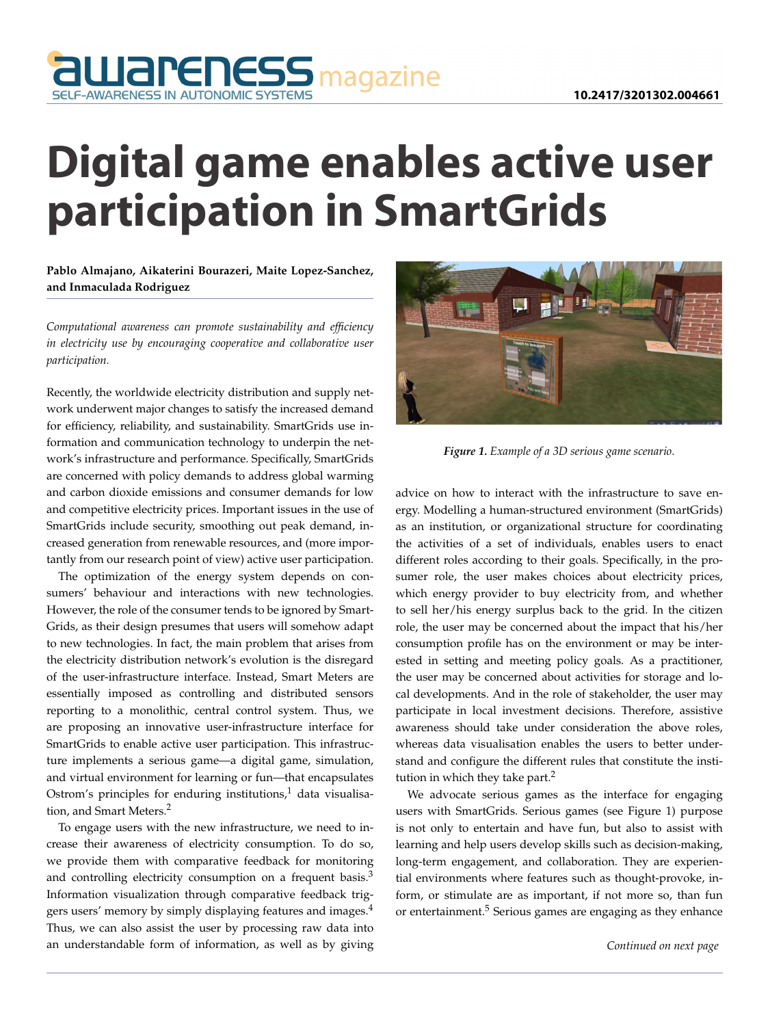

## **Digital game enables active user participation in SmartGrids**

**Pablo Almajano, Aikaterini Bourazeri, Maite Lopez-Sanchez, and Inmaculada Rodriguez**

*Computational awareness can promote sustainability and efficiency in electricity use by encouraging cooperative and collaborative user participation.*

Recently, the worldwide electricity distribution and supply network underwent major changes to satisfy the increased demand for efficiency, reliability, and sustainability. SmartGrids use information and communication technology to underpin the network's infrastructure and performance. Specifically, SmartGrids are concerned with policy demands to address global warming and carbon dioxide emissions and consumer demands for low and competitive electricity prices. Important issues in the use of SmartGrids include security, smoothing out peak demand, increased generation from renewable resources, and (more importantly from our research point of view) active user participation.

The optimization of the energy system depends on consumers' behaviour and interactions with new technologies. However, the role of the consumer tends to be ignored by Smart-Grids, as their design presumes that users will somehow adapt to new technologies. In fact, the main problem that arises from the electricity distribution network's evolution is the disregard of the user-infrastructure interface. Instead, Smart Meters are essentially imposed as controlling and distributed sensors reporting to a monolithic, central control system. Thus, we are proposing an innovative user-infrastructure interface for SmartGrids to enable active user participation. This infrastructure implements a serious game—a digital game, simulation, and virtual environment for learning or fun—that encapsulates Ostrom's principles for enduring institutions, $1$  data visualisation, and Smart Meters.<sup>2</sup>

To engage users with the new infrastructure, we need to increase their awareness of electricity consumption. To do so, we provide them with comparative feedback for monitoring and controlling electricity consumption on a frequent basis.<sup>3</sup> Information visualization through comparative feedback triggers users' memory by simply displaying features and images.<sup>4</sup> Thus, we can also assist the user by processing raw data into an understandable form of information, as well as by giving



*Figure 1. Example of a 3D serious game scenario.*

advice on how to interact with the infrastructure to save energy. Modelling a human-structured environment (SmartGrids) as an institution, or organizational structure for coordinating the activities of a set of individuals, enables users to enact different roles according to their goals. Specifically, in the prosumer role, the user makes choices about electricity prices, which energy provider to buy electricity from, and whether to sell her/his energy surplus back to the grid. In the citizen role, the user may be concerned about the impact that his/her consumption profile has on the environment or may be interested in setting and meeting policy goals. As a practitioner, the user may be concerned about activities for storage and local developments. And in the role of stakeholder, the user may participate in local investment decisions. Therefore, assistive awareness should take under consideration the above roles, whereas data visualisation enables the users to better understand and configure the different rules that constitute the institution in which they take part.<sup>2</sup>

We advocate serious games as the interface for engaging users with SmartGrids. Serious games (see Figure 1) purpose is not only to entertain and have fun, but also to assist with learning and help users develop skills such as decision-making, long-term engagement, and collaboration. They are experiential environments where features such as thought-provoke, inform, or stimulate are as important, if not more so, than fun or entertainment.<sup>5</sup> Serious games are engaging as they enhance